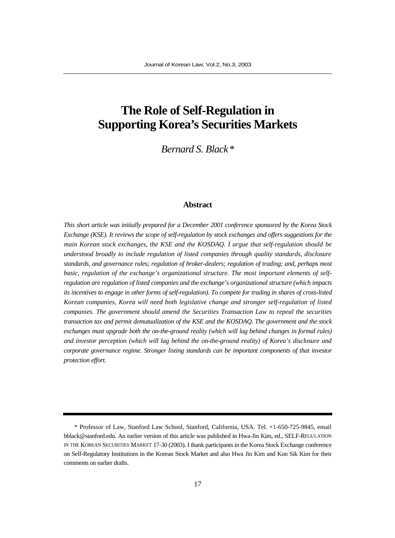# **The Role of Self-Regulation in Supporting Korea's Securities Markets**

*Bernard S. Black\**

#### **Abstract**

*This short article was initially prepared for a December 2001 conference sponsored by the Korea Stock Exchange (KSE). It reviews the scope of self-regulation by stock exchanges and offers suggestions for the main Korean stock exchanges, the KSE and the KOSDAQ. I argue that self-regulation should be understood broadly to include regulation of listed companies through quality standards, disclosure standards, and governance rules; regulation of broker-dealers; regulation of trading; and, perhaps most basic, regulation of the exchange's organizational structure. The most important elements of selfregulation are regulation of listed companies and the exchange's organizational structure (which impacts its incentives to engage in other forms of self-regulation). To compete for trading in shares of cross-listed Korean companies, Korea will need both legislative change and stronger self-regulation of listed companies. The government should amend the Securities Transaction Law to repeal the securities transaction tax and permit demutualization of the KSE and the KOSDAQ. The government and the stock exchanges must upgrade both the on-the-ground reality (which will lag behind changes in formal rules) and investor perception (which will lag behind the on-the-ground reality) of Korea's disclosure and corporate governance regime. Stronger listing standards can be important components of that investor protection effort.*

<sup>\*</sup> Professor of Law, Stanford Law School, Stanford, California, USA. Tel. +1-650-725-9845, email bblack@stanford.edu. An earlier version of this article was published in Hwa-Jin Kim, ed., SELF-REGULATION IN THE KOREAN SECURITIES MARKET 17-30 (2003). I thank participants in the Korea Stock Exchange conference on Self-Regulatory Institutions in the Korean Stock Market and also Hwa Jin Kim and Kon Sik Kim for their comments on earlier drafts.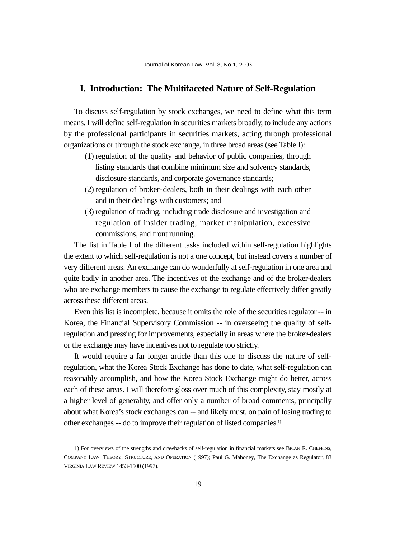## **I. Introduction: The Multifaceted Nature of Self-Regulation**

To discuss self-regulation by stock exchanges, we need to define what this term means. I will define self-regulation in securities markets broadly, to include any actions by the professional participants in securities markets, acting through professional organizations or through the stock exchange, in three broad areas (see Table I):

- (1) regulation of the quality and behavior of public companies, through listing standards that combine minimum size and solvency standards, disclosure standards, and corporate governance standards;
- (2) regulation of broker-dealers, both in their dealings with each other and in their dealings with customers; and
- (3) regulation of trading, including trade disclosure and investigation and regulation of insider trading, market manipulation, excessive commissions, and front running.

The list in Table I of the different tasks included within self-regulation highlights the extent to which self-regulation is not a one concept, but instead covers a number of very different areas. An exchange can do wonderfully at self-regulation in one area and quite badly in another area. The incentives of the exchange and of the broker-dealers who are exchange members to cause the exchange to regulate effectively differ greatly across these different areas.

Even this list is incomplete, because it omits the role of the securities regulator -- in Korea, the Financial Supervisory Commission -- in overseeing the quality of selfregulation and pressing for improvements, especially in areas where the broker-dealers or the exchange may have incentives not to regulate too strictly.

It would require a far longer article than this one to discuss the nature of selfregulation, what the Korea Stock Exchange has done to date, what self-regulation can reasonably accomplish, and how the Korea Stock Exchange might do better, across each of these areas. I will therefore gloss over much of this complexity, stay mostly at a higher level of generality, and offer only a number of broad comments, principally about what Korea's stock exchanges can -- and likely must, on pain of losing trading to other exchanges -- do to improve their regulation of listed companies.1)

<sup>1)</sup> For overviews of the strengths and drawbacks of self-regulation in financial markets see BRIAN R. CHEFFINS, COMPANY LAW: THEORY, STRUCTURE, AND OPERATION (1997); Paul G. Mahoney, The Exchange as Regulator, 83 VIRGINIA LAW REVIEW 1453-1500 (1997).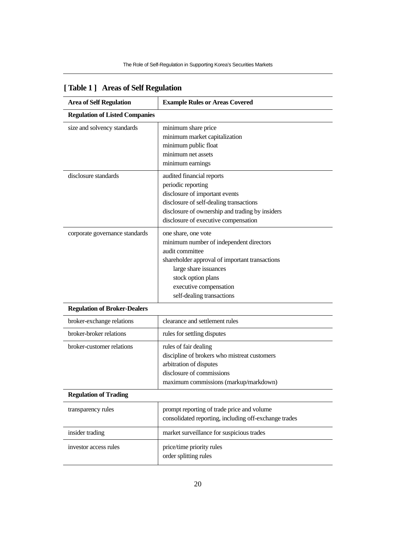| <b>Area of Self Regulation</b>        | <b>Example Rules or Areas Covered</b>                                                                                                                                                                                                     |  |  |
|---------------------------------------|-------------------------------------------------------------------------------------------------------------------------------------------------------------------------------------------------------------------------------------------|--|--|
| <b>Regulation of Listed Companies</b> |                                                                                                                                                                                                                                           |  |  |
| size and solvency standards           | minimum share price<br>minimum market capitalization<br>minimum public float<br>minimum net assets<br>minimum earnings                                                                                                                    |  |  |
| disclosure standards                  | audited financial reports<br>periodic reporting<br>disclosure of important events<br>disclosure of self-dealing transactions<br>disclosure of ownership and trading by insiders<br>disclosure of executive compensation                   |  |  |
| corporate governance standards        | one share, one vote<br>minimum number of independent directors<br>audit committee<br>shareholder approval of important transactions<br>large share issuances<br>stock option plans<br>executive compensation<br>self-dealing transactions |  |  |
| <b>Regulation of Broker-Dealers</b>   |                                                                                                                                                                                                                                           |  |  |
| broker-exchange relations             | clearance and settlement rules                                                                                                                                                                                                            |  |  |
| broker-broker relations               | rules for settling disputes                                                                                                                                                                                                               |  |  |
| broker-customer relations             | rules of fair dealing<br>discipline of brokers who mistreat customers<br>arbitration of disputes<br>disclosure of commissions<br>maximum commissions (markup/markdown)                                                                    |  |  |
| <b>Regulation of Trading</b>          |                                                                                                                                                                                                                                           |  |  |
| transparency rules                    | prompt reporting of trade price and volume<br>consolidated reporting, including off-exchange trades                                                                                                                                       |  |  |
| insider trading                       | market surveillance for suspicious trades                                                                                                                                                                                                 |  |  |
| investor access rules                 | price/time priority rules<br>order splitting rules                                                                                                                                                                                        |  |  |

## **[ Table 1 ] Areas of Self Regulation**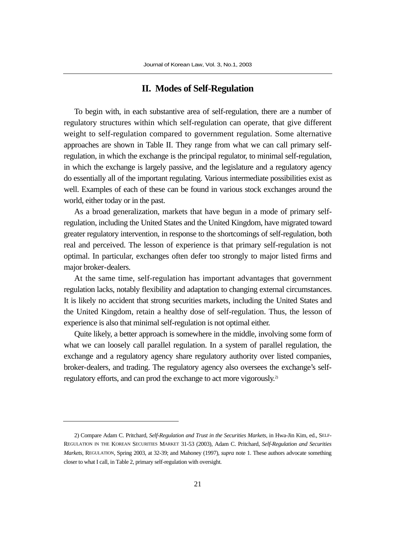## **II. Modes of Self-Regulation**

To begin with, in each substantive area of self-regulation, there are a number of regulatory structures within which self-regulation can operate, that give different weight to self-regulation compared to government regulation. Some alternative approaches are shown in Table II. They range from what we can call primary selfregulation, in which the exchange is the principal regulator, to minimal self-regulation, in which the exchange is largely passive, and the legislature and a regulatory agency do essentially all of the important regulating. Various intermediate possibilities exist as well. Examples of each of these can be found in various stock exchanges around the world, either today or in the past.

As a broad generalization, markets that have begun in a mode of primary selfregulation, including the United States and the United Kingdom, have migrated toward greater regulatory intervention, in response to the shortcomings of self-regulation, both real and perceived. The lesson of experience is that primary self-regulation is not optimal. In particular, exchanges often defer too strongly to major listed firms and major broker-dealers.

At the same time, self-regulation has important advantages that government regulation lacks, notably flexibility and adaptation to changing external circumstances. It is likely no accident that strong securities markets, including the United States and the United Kingdom, retain a healthy dose of self-regulation. Thus, the lesson of experience is also that minimal self-regulation is not optimal either.

Quite likely, a better approach is somewhere in the middle, involving some form of what we can loosely call parallel regulation. In a system of parallel regulation, the exchange and a regulatory agency share regulatory authority over listed companies, broker-dealers, and trading. The regulatory agency also oversees the exchange's selfregulatory efforts, and can prod the exchange to act more vigorously.2)

<sup>2)</sup> Compare Adam C. Pritchard, *Self-Regulation and Trust in the Securities Markets*, in Hwa-Jin Kim, ed., SELF-REGULATION IN THE KOREAN SECURITIES MARKET 31-53 (2003), Adam C. Pritchard, *Self-Regulation and Securities Markets*, REGULATION, Spring 2003, at 32-39; and Mahoney (1997), *supra* note 1. These authors advocate something closer to what I call, in Table 2, primary self-regulation with oversight.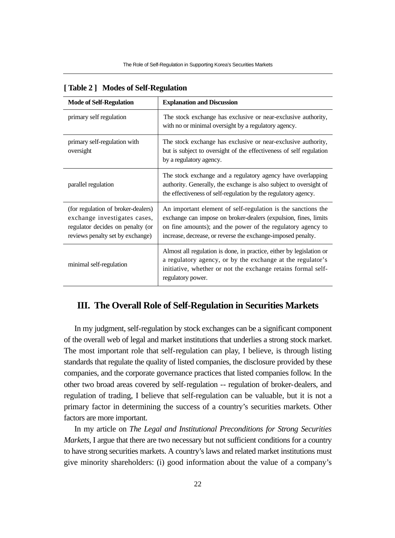| <b>Mode of Self-Regulation</b>                                                                                                             | <b>Explanation and Discussion</b>                                                                                                                                                                                                                              |  |  |  |
|--------------------------------------------------------------------------------------------------------------------------------------------|----------------------------------------------------------------------------------------------------------------------------------------------------------------------------------------------------------------------------------------------------------------|--|--|--|
| primary self regulation                                                                                                                    | The stock exchange has exclusive or near-exclusive authority,<br>with no or minimal oversight by a regulatory agency.                                                                                                                                          |  |  |  |
| primary self-regulation with<br>oversight                                                                                                  | The stock exchange has exclusive or near-exclusive authority,<br>but is subject to oversight of the effectiveness of self regulation<br>by a regulatory agency.                                                                                                |  |  |  |
| parallel regulation                                                                                                                        | The stock exchange and a regulatory agency have overlapping<br>authority. Generally, the exchange is also subject to oversight of<br>the effectiveness of self-regulation by the regulatory agency.                                                            |  |  |  |
| (for regulation of broker-dealers)<br>exchange investigates cases,<br>regulator decides on penalty (or<br>reviews penalty set by exchange) | An important element of self-regulation is the sanctions the<br>exchange can impose on broker-dealers (expulsion, fines, limits<br>on fine amounts); and the power of the regulatory agency to<br>increase, decrease, or reverse the exchange-imposed penalty. |  |  |  |
| minimal self-regulation                                                                                                                    | Almost all regulation is done, in practice, either by legislation or<br>a regulatory agency, or by the exchange at the regulator's<br>initiative, whether or not the exchange retains formal self-<br>regulatory power.                                        |  |  |  |

|  | [Table 2] Modes of Self-Regulation |  |  |  |
|--|------------------------------------|--|--|--|
|--|------------------------------------|--|--|--|

## **III. The Overall Role of Self-Regulation in Securities Markets**

In my judgment, self-regulation by stock exchanges can be a significant component of the overall web of legal and market institutions that underlies a strong stock market. The most important role that self-regulation can play, I believe, is through listing standards that regulate the quality of listed companies, the disclosure provided by these companies, and the corporate governance practices that listed companies follow. In the other two broad areas covered by self-regulation -- regulation of broker-dealers, and regulation of trading, I believe that self-regulation can be valuable, but it is not a primary factor in determining the success of a country's securities markets. Other factors are more important.

In my article on *The Legal and Institutional Preconditions for Strong Securities Markets*, I argue that there are two necessary but not sufficient conditions for a country to have strong securities markets. A country's laws and related market institutions must give minority shareholders: (i) good information about the value of a company's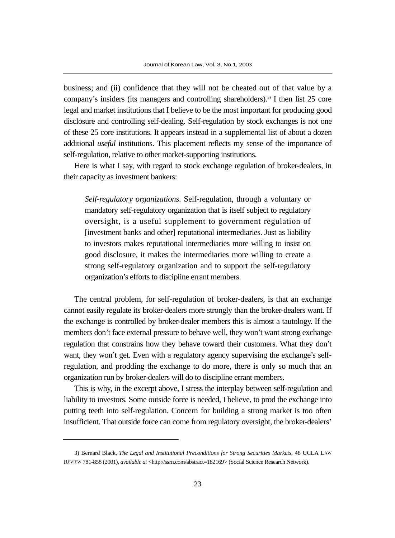business; and (ii) confidence that they will not be cheated out of that value by a company's insiders (its managers and controlling shareholders).<sup>3)</sup> I then list 25 core legal and market institutions that I believe to be the most important for producing good disclosure and controlling self-dealing. Self-regulation by stock exchanges is not one of these 25 core institutions. It appears instead in a supplemental list of about a dozen additional *useful* institutions. This placement reflects my sense of the importance of self-regulation, relative to other market-supporting institutions.

Here is what I say, with regard to stock exchange regulation of broker-dealers, in their capacity as investment bankers:

*Self-regulatory organizations*. Self-regulation, through a voluntary or mandatory self-regulatory organization that is itself subject to regulatory oversight, is a useful supplement to government regulation of [investment banks and other] reputational intermediaries. Just as liability to investors makes reputational intermediaries more willing to insist on good disclosure, it makes the intermediaries more willing to create a strong self-regulatory organization and to support the self-regulatory organization's efforts to discipline errant members.

The central problem, for self-regulation of broker-dealers, is that an exchange cannot easily regulate its broker-dealers more strongly than the broker-dealers want. If the exchange is controlled by broker-dealer members this is almost a tautology. If the members don't face external pressure to behave well, they won't want strong exchange regulation that constrains how they behave toward their customers. What they don't want, they won't get. Even with a regulatory agency supervising the exchange's selfregulation, and prodding the exchange to do more, there is only so much that an organization run by broker-dealers will do to discipline errant members.

This is why, in the excerpt above, I stress the interplay between self-regulation and liability to investors. Some outside force is needed, I believe, to prod the exchange into putting teeth into self-regulation. Concern for building a strong market is too often insufficient. That outside force can come from regulatory oversight, the broker-dealers'

<sup>3)</sup> Bernard Black, *The Legal and Institutional Preconditions for Strong Securities Markets*, 48 UCLA LAW REVIEW 781-858 (2001), *available at* <http://ssrn.com/abstract=182169> (Social Science Research Network).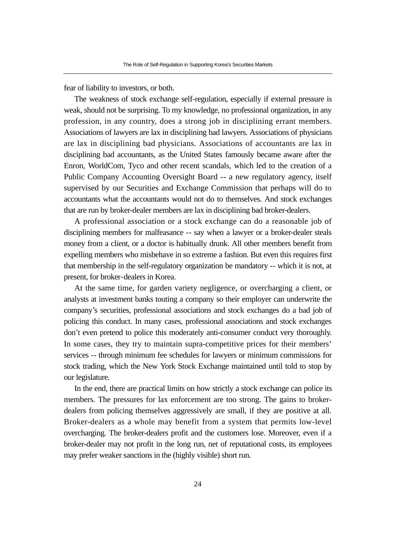fear of liability to investors, or both.

The weakness of stock exchange self-regulation, especially if external pressure is weak, should not be surprising. To my knowledge, no professional organization, in any profession, in any country, does a strong job in disciplining errant members. Associations of lawyers are lax in disciplining bad lawyers. Associations of physicians are lax in disciplining bad physicians. Associations of accountants are lax in disciplining bad accountants, as the United States famously became aware after the Enron, WorldCom, Tyco and other recent scandals, which led to the creation of a Public Company Accounting Oversight Board -- a new regulatory agency, itself supervised by our Securities and Exchange Commission that perhaps will do to accountants what the accountants would not do to themselves. And stock exchanges that are run by broker-dealer members are lax in disciplining bad broker-dealers.

A professional association or a stock exchange can do a reasonable job of disciplining members for malfeasance -- say when a lawyer or a broker-dealer steals money from a client, or a doctor is habitually drunk. All other members benefit from expelling members who misbehave in so extreme a fashion. But even this requires first that membership in the self-regulatory organization be mandatory -- which it is not, at present, for broker-dealers in Korea.

At the same time, for garden variety negligence, or overcharging a client, or analysts at investment banks touting a company so their employer can underwrite the company's securities, professional associations and stock exchanges do a bad job of policing this conduct. In many cases, professional associations and stock exchanges don't even pretend to police this moderately anti-consumer conduct very thoroughly. In some cases, they try to maintain supra-competitive prices for their members' services -- through minimum fee schedules for lawyers or minimum commissions for stock trading, which the New York Stock Exchange maintained until told to stop by our legislature.

In the end, there are practical limits on how strictly a stock exchange can police its members. The pressures for lax enforcement are too strong. The gains to brokerdealers from policing themselves aggressively are small, if they are positive at all. Broker-dealers as a whole may benefit from a system that permits low-level overcharging. The broker-dealers profit and the customers lose. Moreover, even if a broker-dealer may not profit in the long run, net of reputational costs, its employees may prefer weaker sanctions in the (highly visible) short run.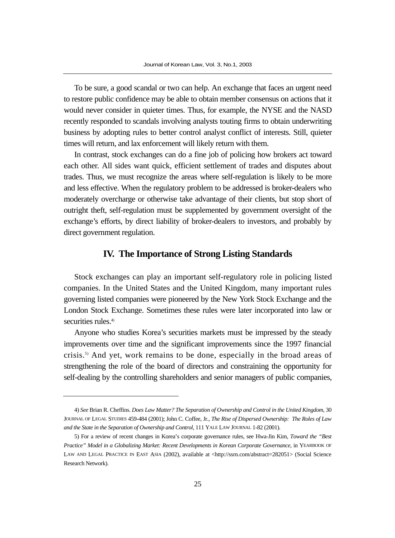To be sure, a good scandal or two can help. An exchange that faces an urgent need to restore public confidence may be able to obtain member consensus on actions that it would never consider in quieter times. Thus, for example, the NYSE and the NASD recently responded to scandals involving analysts touting firms to obtain underwriting business by adopting rules to better control analyst conflict of interests. Still, quieter times will return, and lax enforcement will likely return with them.

In contrast, stock exchanges can do a fine job of policing how brokers act toward each other. All sides want quick, efficient settlement of trades and disputes about trades. Thus, we must recognize the areas where self-regulation is likely to be more and less effective. When the regulatory problem to be addressed is broker-dealers who moderately overcharge or otherwise take advantage of their clients, but stop short of outright theft, self-regulation must be supplemented by government oversight of the exchange's efforts, by direct liability of broker-dealers to investors, and probably by direct government regulation.

### **IV. The Importance of Strong Listing Standards**

Stock exchanges can play an important self-regulatory role in policing listed companies. In the United States and the United Kingdom, many important rules governing listed companies were pioneered by the New York Stock Exchange and the London Stock Exchange. Sometimes these rules were later incorporated into law or securities rules.<sup>4)</sup>

Anyone who studies Korea's securities markets must be impressed by the steady improvements over time and the significant improvements since the 1997 financial crisis.5) And yet, work remains to be done, especially in the broad areas of strengthening the role of the board of directors and constraining the opportunity for self-dealing by the controlling shareholders and senior managers of public companies,

<sup>4)</sup> *See* Brian R. Cheffins. *Does Law Matter? The Separation of Ownership and Control in the United Kingdom*, 30 JOURNAL OF LEGAL STUDIES 459-484 (2001); John C. Coffee, Jr., *The Rise of Dispersed Ownership: The Roles of Law and the State in the Separation of Ownership and Control*, 111 YALE LAW JOURNAL 1-82 (2001).

<sup>5)</sup> For a review of recent changes in Korea's corporate governance rules, see Hwa-Jin Kim, *Toward the "Best Practice" Model in a Globalizing Market: Recent Developments in Korean Corporate Governance*, in YEARBOOK OF LAW AND LEGAL PRACTICE IN EAST ASIA (2002), available at <http://ssrn.com/abstract=282051> (Social Science Research Network).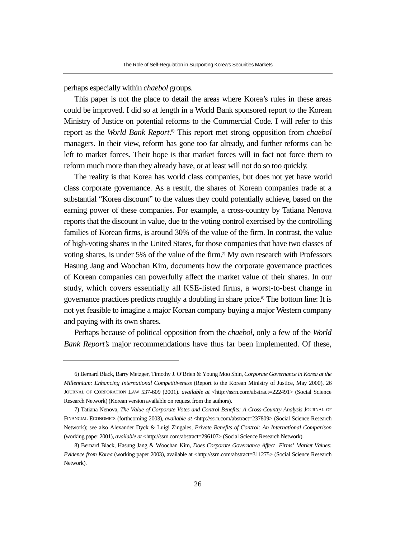perhaps especially within *chaebol* groups.

This paper is not the place to detail the areas where Korea's rules in these areas could be improved. I did so at length in a World Bank sponsored report to the Korean Ministry of Justice on potential reforms to the Commercial Code. I will refer to this report as the *World Bank Report*. 6) This report met strong opposition from *chaebol* managers. In their view, reform has gone too far already, and further reforms can be left to market forces. Their hope is that market forces will in fact not force them to reform much more than they already have, or at least will not do so too quickly.

The reality is that Korea has world class companies, but does not yet have world class corporate governance. As a result, the shares of Korean companies trade at a substantial "Korea discount" to the values they could potentially achieve, based on the earning power of these companies. For example, a cross-country by Tatiana Nenova reports that the discount in value, due to the voting control exercised by the controlling families of Korean firms, is around 30% of the value of the firm. In contrast, the value of high-voting shares in the United States, for those companies that have two classes of voting shares, is under 5% of the value of the firm.<sup>7</sup> My own research with Professors Hasung Jang and Woochan Kim, documents how the corporate governance practices of Korean companies can powerfully affect the market value of their shares. In our study, which covers essentially all KSE-listed firms, a worst-to-best change in governance practices predicts roughly a doubling in share price.8) The bottom line: It is not yet feasible to imagine a major Korean company buying a major Western company and paying with its own shares.

Perhaps because of political opposition from the *chaebol*, only a few of the *World Bank Report's* major recommendations have thus far been implemented. Of these,

<sup>6)</sup> Bernard Black, Barry Metzger, Timothy J. O'Brien & Young Moo Shin, *Corporate Governance in Korea at the Millennium: Enhancing International Competitiveness* (Report to the Korean Ministry of Justice, May 2000), 26 JOURNAL OF CORPORATION LAW 537-609 (2001). *available at* <http://ssrn.com/abstract=222491> (Social Science Research Network) (Korean version available on request from the authors).

<sup>7)</sup> Tatiana Nenova, *The Value of Corporate Votes and Control Benefits: A Cross-Country Analysis* JOURNAL OF FINANCIAL ECONOMICS (forthcoming 2003), *available at* <http://ssrn.com/abstract=237809> (Social Science Research Network); see also Alexander Dyck & Luigi Zingales, *Private Benefits of Control: An International Comparison* (working paper 2001), *available at* <http://ssrn.com/abstract=296107> (Social Science Research Network).

<sup>8)</sup> Bernard Black, Hasung Jang & Woochan Kim, *Does Corporate Governance Affect Firms' Market Values: Evidence from Korea* (working paper 2003), available at <http://ssrn.com/abstract=311275> (Social Science Research Network).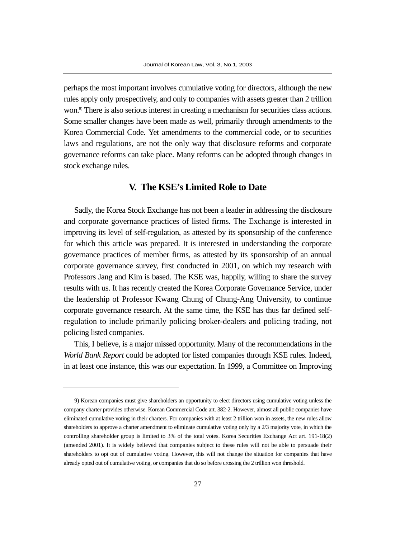perhaps the most important involves cumulative voting for directors, although the new rules apply only prospectively, and only to companies with assets greater than 2 trillion won.<sup>9</sup> There is also serious interest in creating a mechanism for securities class actions. Some smaller changes have been made as well, primarily through amendments to the Korea Commercial Code. Yet amendments to the commercial code, or to securities laws and regulations, are not the only way that disclosure reforms and corporate governance reforms can take place. Many reforms can be adopted through changes in stock exchange rules.

#### **V. The KSE's Limited Role to Date**

Sadly, the Korea Stock Exchange has not been a leader in addressing the disclosure and corporate governance practices of listed firms. The Exchange is interested in improving its level of self-regulation, as attested by its sponsorship of the conference for which this article was prepared. It is interested in understanding the corporate governance practices of member firms, as attested by its sponsorship of an annual corporate governance survey, first conducted in 2001, on which my research with Professors Jang and Kim is based. The KSE was, happily, willing to share the survey results with us. It has recently created the Korea Corporate Governance Service, under the leadership of Professor Kwang Chung of Chung-Ang University, to continue corporate governance research. At the same time, the KSE has thus far defined selfregulation to include primarily policing broker-dealers and policing trading, not policing listed companies.

This, I believe, is a major missed opportunity. Many of the recommendations in the *World Bank Report* could be adopted for listed companies through KSE rules. Indeed, in at least one instance, this was our expectation. In 1999, a Committee on Improving

<sup>9)</sup> Korean companies must give shareholders an opportunity to elect directors using cumulative voting unless the company charter provides otherwise. Korean Commercial Code art. 382-2. However, almost all public companies have eliminated cumulative voting in their charters. For companies with at least 2 trillion won in assets, the new rules allow shareholders to approve a charter amendment to eliminate cumulative voting only by a 2/3 majority vote, in which the controlling shareholder group is limited to 3% of the total votes. Korea Securities Exchange Act art. 191-18(2) (amended 2001). It is widely believed that companies subject to these rules will not be able to persuade their shareholders to opt out of cumulative voting. However, this will not change the situation for companies that have already opted out of cumulative voting, or companies that do so before crossing the 2 trillion won threshold.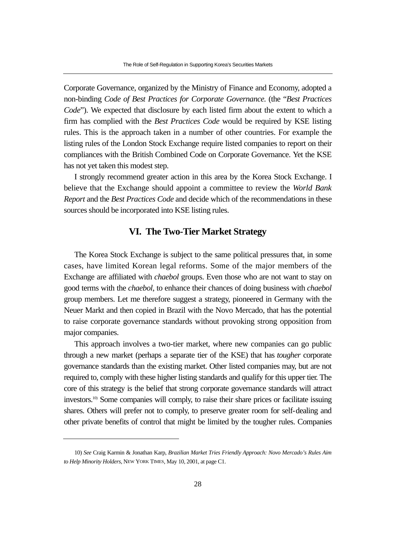Corporate Governance, organized by the Ministry of Finance and Economy, adopted a non-binding *Code of Best Practices for Corporate Governance*. (the "*Best Practices Code*"). We expected that disclosure by each listed firm about the extent to which a firm has complied with the *Best Practices Code* would be required by KSE listing rules. This is the approach taken in a number of other countries. For example the listing rules of the London Stock Exchange require listed companies to report on their compliances with the British Combined Code on Corporate Governance. Yet the KSE has not yet taken this modest step.

I strongly recommend greater action in this area by the Korea Stock Exchange. I believe that the Exchange should appoint a committee to review the *World Bank Report* and the *Best Practices Code* and decide which of the recommendations in these sources should be incorporated into KSE listing rules.

### **VI. The Two-Tier Market Strategy**

The Korea Stock Exchange is subject to the same political pressures that, in some cases, have limited Korean legal reforms. Some of the major members of the Exchange are affiliated with *chaebol* groups. Even those who are not want to stay on good terms with the *chaebol*, to enhance their chances of doing business with *chaebol* group members. Let me therefore suggest a strategy, pioneered in Germany with the Neuer Markt and then copied in Brazil with the Novo Mercado, that has the potential to raise corporate governance standards without provoking strong opposition from major companies.

This approach involves a two-tier market, where new companies can go public through a new market (perhaps a separate tier of the KSE) that has *tougher* corporate governance standards than the existing market. Other listed companies may, but are not required to, comply with these higher listing standards and qualify for this upper tier. The core of this strategy is the belief that strong corporate governance standards will attract investors.10) Some companies will comply, to raise their share prices or facilitate issuing shares. Others will prefer not to comply, to preserve greater room for self-dealing and other private benefits of control that might be limited by the tougher rules. Companies

<sup>10)</sup> *See* Craig Karmin & Jonathan Karp, *Brazilian Market Tries Friendly Approach: Novo Mercado's Rules Aim to Help Minority Holders*, NEW YORK TIMES, May 10, 2001, at page C1.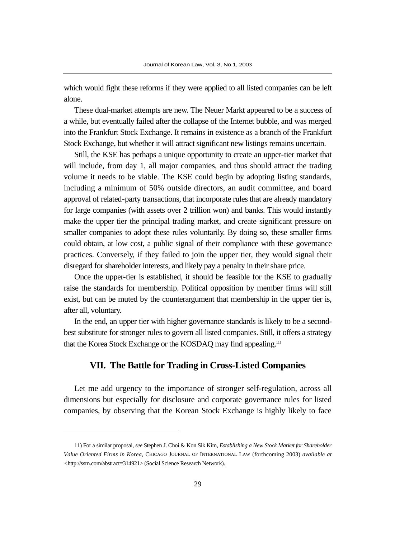which would fight these reforms if they were applied to all listed companies can be left alone.

These dual-market attempts are new. The Neuer Markt appeared to be a success of a while, but eventually failed after the collapse of the Internet bubble, and was merged into the Frankfurt Stock Exchange. It remains in existence as a branch of the Frankfurt Stock Exchange, but whether it will attract significant new listings remains uncertain.

Still, the KSE has perhaps a unique opportunity to create an upper-tier market that will include, from day 1, all major companies, and thus should attract the trading volume it needs to be viable. The KSE could begin by adopting listing standards, including a minimum of 50% outside directors, an audit committee, and board approval of related-party transactions, that incorporate rules that are already mandatory for large companies (with assets over 2 trillion won) and banks. This would instantly make the upper tier the principal trading market, and create significant pressure on smaller companies to adopt these rules voluntarily. By doing so, these smaller firms could obtain, at low cost, a public signal of their compliance with these governance practices. Conversely, if they failed to join the upper tier, they would signal their disregard for shareholder interests, and likely pay a penalty in their share price.

Once the upper-tier is established, it should be feasible for the KSE to gradually raise the standards for membership. Political opposition by member firms will still exist, but can be muted by the counterargument that membership in the upper tier is, after all, voluntary.

In the end, an upper tier with higher governance standards is likely to be a secondbest substitute for stronger rules to govern all listed companies. Still, it offers a strategy that the Korea Stock Exchange or the KOSDAQ may find appealing.11)

## **VII. The Battle for Trading in Cross-Listed Companies**

Let me add urgency to the importance of stronger self-regulation, across all dimensions but especially for disclosure and corporate governance rules for listed companies, by observing that the Korean Stock Exchange is highly likely to face

<sup>11)</sup> For a similar proposal, *see* Stephen J. Choi & Kon Sik Kim, *Establishing a New Stock Market for Shareholder Value Oriented Firms in Korea*, CHICAGO JOURNAL OF INTERNATIONAL LAW (forthcoming 2003) *available at <*http://ssrn.com/abstract=314921> (Social Science Research Network).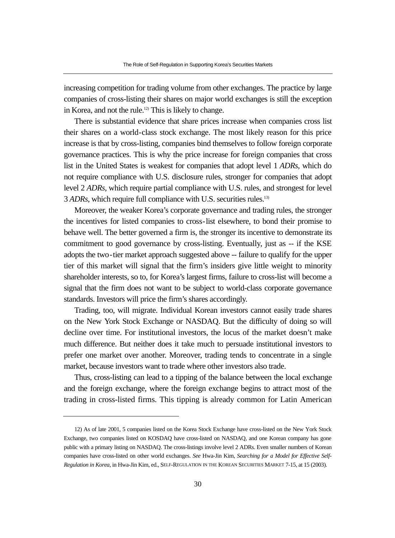increasing competition for trading volume from other exchanges. The practice by large companies of cross-listing their shares on major world exchanges is still the exception in Korea, and not the rule.<sup>12)</sup> This is likely to change.

There is substantial evidence that share prices increase when companies cross list their shares on a world-class stock exchange. The most likely reason for this price increase is that by cross-listing, companies bind themselves to follow foreign corporate governance practices. This is why the price increase for foreign companies that cross list in the United States is weakest for companies that adopt level 1 *ADRs*, which do not require compliance with U.S. disclosure rules, stronger for companies that adopt level 2 *ADRs*, which require partial compliance with U.S. rules, and strongest for level 3 *ADRs*, which require full compliance with U.S. securities rules.13)

Moreover, the weaker Korea's corporate governance and trading rules, the stronger the incentives for listed companies to cross-list elsewhere, to bond their promise to behave well. The better governed a firm is, the stronger its incentive to demonstrate its commitment to good governance by cross-listing. Eventually, just as -- if the KSE adopts the two-tier market approach suggested above -- failure to qualify for the upper tier of this market will signal that the firm's insiders give little weight to minority shareholder interests, so to, for Korea's largest firms, failure to cross-list will become a signal that the firm does not want to be subject to world-class corporate governance standards. Investors will price the firm's shares accordingly.

Trading, too, will migrate. Individual Korean investors cannot easily trade shares on the New York Stock Exchange or NASDAQ. But the difficulty of doing so will decline over time. For institutional investors, the locus of the market doesn't make much difference. But neither does it take much to persuade institutional investors to prefer one market over another. Moreover, trading tends to concentrate in a single market, because investors want to trade where other investors also trade.

Thus, cross-listing can lead to a tipping of the balance between the local exchange and the foreign exchange, where the foreign exchange begins to attract most of the trading in cross-listed firms. This tipping is already common for Latin American

<sup>12)</sup> As of late 2001, 5 companies listed on the Korea Stock Exchange have cross-listed on the New York Stock Exchange, two companies listed on KOSDAQ have cross-listed on NASDAQ, and one Korean company has gone public with a primary listing on NASDAQ. The cross-listings involve level 2 ADRs. Even smaller numbers of Korean companies have cross-listed on other world exchanges. *See* Hwa-Jin Kim, *Searching for a Model for Effective Self-Regulation in Korea*, in Hwa-Jin Kim, ed., SELF-REGULATION IN THE KOREAN SECURITIES MARKET 7-15, at 15 (2003).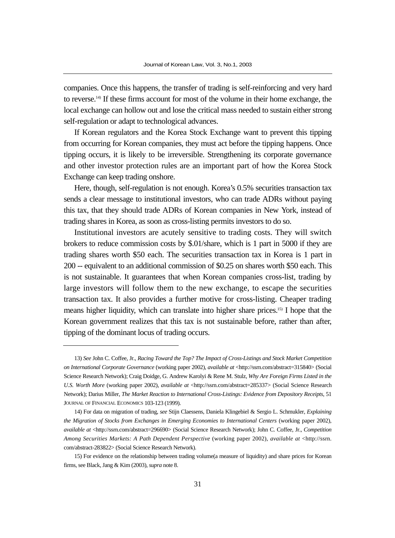companies. Once this happens, the transfer of trading is self-reinforcing and very hard to reverse.14) If these firms account for most of the volume in their home exchange, the local exchange can hollow out and lose the critical mass needed to sustain either strong self-regulation or adapt to technological advances.

If Korean regulators and the Korea Stock Exchange want to prevent this tipping from occurring for Korean companies, they must act before the tipping happens. Once tipping occurs, it is likely to be irreversible. Strengthening its corporate governance and other investor protection rules are an important part of how the Korea Stock Exchange can keep trading onshore.

Here, though, self-regulation is not enough. Korea's 0.5% securities transaction tax sends a clear message to institutional investors, who can trade ADRs without paying this tax, that they should trade ADRs of Korean companies in New York, instead of trading shares in Korea, as soon as cross-listing permits investors to do so.

Institutional investors are acutely sensitive to trading costs. They will switch brokers to reduce commission costs by \$.01/share, which is 1 part in 5000 if they are trading shares worth \$50 each. The securities transaction tax in Korea is 1 part in 200 -- equivalent to an additional commission of \$0.25 on shares worth \$50 each. This is not sustainable. It guarantees that when Korean companies cross-list, trading by large investors will follow them to the new exchange, to escape the securities transaction tax. It also provides a further motive for cross-listing. Cheaper trading means higher liquidity, which can translate into higher share prices.15) I hope that the Korean government realizes that this tax is not sustainable before, rather than after, tipping of the dominant locus of trading occurs.

<sup>13)</sup> *See* John C. Coffee, Jr., *Racing Toward the Top? The Impact of Cross-Listings and Stock Market Competition on International Corporate Governance* (working paper 2002), *available at* <http://ssrn.com/abstract=315840> (Social Science Research Network); Craig Doidge, G. Andrew Karolyi & Rene M. Stulz, *Why Are Foreign Firms Listed in the U.S. Worth More* (working paper 2002), *available at* <http://ssrn.com/abstract=285337> (Social Science Research Network); Darius Miller, *The Market Reaction to International Cross-Listings: Evidence from Depository Receipts*, 51 JOURNAL OF FINANCIAL ECONOMICS 103-123 (1999).

<sup>14)</sup> For data on migration of trading, *see* Stijn Claessens, Daniela Klingebiel & Sergio L. Schmukler, *Explaining the Migration of Stocks from Exchanges in Emerging Economies to International Centers* (working paper 2002), *available at* <http://ssrn.com/abstract=296690> (Social Science Research Network); John C. Coffee, Jr., *Competition Among Securities Markets: A Path Dependent Perspective* (working paper 2002), *available at* <http://ssrn. com/abstract-283822> (Social Science Research Network).

<sup>15)</sup> For evidence on the relationship between trading volume(a measure of liquidity) and share prices for Korean firms, see Black, Jang & Kim (2003), *supra* note 8.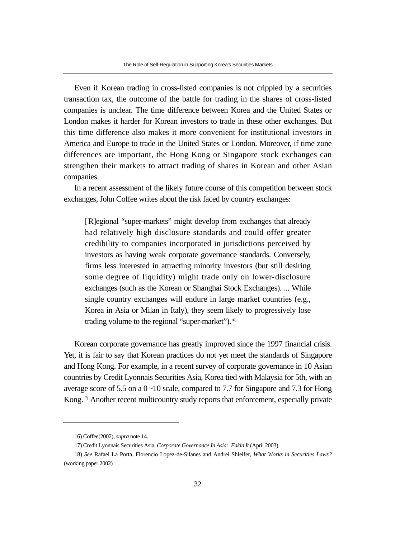Even if Korean trading in cross-listed companies is not crippled by a securities transaction tax, the outcome of the battle for trading in the shares of cross-listed companies is unclear. The time difference between Korea and the United States or London makes it harder for Korean investors to trade in these other exchanges. But this time difference also makes it more convenient for institutional investors in America and Europe to trade in the United States or London. Moreover, if time zone differences are important, the Hong Kong or Singapore stock exchanges can strengthen their markets to attract trading of shares in Korean and other Asian companies.

In a recent assessment of the likely future course of this competition between stock exchanges, John Coffee writes about the risk faced by country exchanges:

[R]egional "super-markets" might develop from exchanges that already had relatively high disclosure standards and could offer greater credibility to companies incorporated in jurisdictions perceived by investors as having weak corporate governance standards. Conversely, firms less interested in attracting minority investors (but still desiring some degree of liquidity) might trade only on lower-disclosure exchanges (such as the Korean or Shanghai Stock Exchanges). ... While single country exchanges will endure in large market countries (e.g., Korea in Asia or Milan in Italy), they seem likely to progressively lose trading volume to the regional "super-market").<sup>16)</sup>

Korean corporate governance has greatly improved since the 1997 financial crisis. Yet, it is fair to say that Korean practices do not yet meet the standards of Singapore and Hong Kong. For example, in a recent survey of corporate governance in 10 Asian countries by Credit Lyonnais Securities Asia, Korea tied with Malaysia for 5th, with an average score of 5.5 on a  $0 \sim 10$  scale, compared to 7.7 for Singapore and 7.3 for Hong Kong.17) Another recent multicountry study reports that enforcement, especially private

<sup>16)</sup> Coffee(2002), *supra* note 14.

<sup>17)</sup> Credit Lyonnais Securities Asia, *Corporate Governance In Asia: Fakin It* (April 2003).

<sup>18)</sup> *See* Rafael La Porta, Florencio Lopez-de-Silanes and Andrei Shleifer, *What Works in Securities Laws?* (working paper 2002)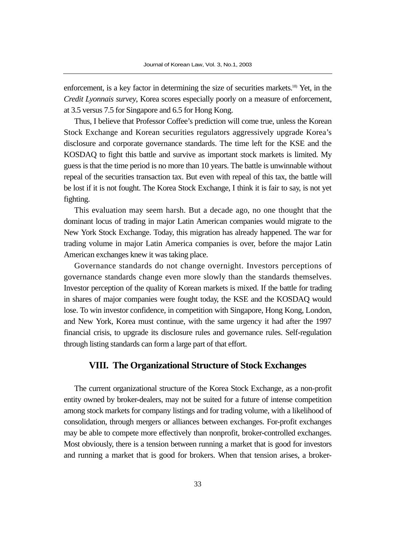enforcement, is a key factor in determining the size of securities markets.<sup>18</sup> Yet, in the *Credit Lyonnais survey*, Korea scores especially poorly on a measure of enforcement, at 3.5 versus 7.5 for Singapore and 6.5 for Hong Kong.

Thus, I believe that Professor Coffee's prediction will come true, unless the Korean Stock Exchange and Korean securities regulators aggressively upgrade Korea's disclosure and corporate governance standards. The time left for the KSE and the KOSDAQ to fight this battle and survive as important stock markets is limited. My guess is that the time period is no more than 10 years. The battle is unwinnable without repeal of the securities transaction tax. But even with repeal of this tax, the battle will be lost if it is not fought. The Korea Stock Exchange, I think it is fair to say, is not yet fighting.

This evaluation may seem harsh. But a decade ago, no one thought that the dominant locus of trading in major Latin American companies would migrate to the New York Stock Exchange. Today, this migration has already happened. The war for trading volume in major Latin America companies is over, before the major Latin American exchanges knew it was taking place.

Governance standards do not change overnight. Investors perceptions of governance standards change even more slowly than the standards themselves. Investor perception of the quality of Korean markets is mixed. If the battle for trading in shares of major companies were fought today, the KSE and the KOSDAQ would lose. To win investor confidence, in competition with Singapore, Hong Kong, London, and New York, Korea must continue, with the same urgency it had after the 1997 financial crisis, to upgrade its disclosure rules and governance rules. Self-regulation through listing standards can form a large part of that effort.

### **VIII. The Organizational Structure of Stock Exchanges**

The current organizational structure of the Korea Stock Exchange, as a non-profit entity owned by broker-dealers, may not be suited for a future of intense competition among stock markets for company listings and for trading volume, with a likelihood of consolidation, through mergers or alliances between exchanges. For-profit exchanges may be able to compete more effectively than nonprofit, broker-controlled exchanges. Most obviously, there is a tension between running a market that is good for investors and running a market that is good for brokers. When that tension arises, a broker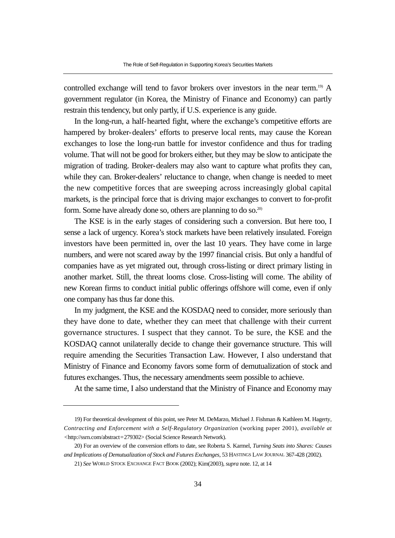controlled exchange will tend to favor brokers over investors in the near term.<sup>19)</sup> A government regulator (in Korea, the Ministry of Finance and Economy) can partly restrain this tendency, but only partly, if U.S. experience is any guide.

In the long-run, a half-hearted fight, where the exchange's competitive efforts are hampered by broker-dealers' efforts to preserve local rents, may cause the Korean exchanges to lose the long-run battle for investor confidence and thus for trading volume. That will not be good for brokers either, but they may be slow to anticipate the migration of trading. Broker-dealers may also want to capture what profits they can, while they can. Broker-dealers' reluctance to change, when change is needed to meet the new competitive forces that are sweeping across increasingly global capital markets, is the principal force that is driving major exchanges to convert to for-profit form. Some have already done so, others are planning to do so.<sup>20)</sup>

The KSE is in the early stages of considering such a conversion. But here too, I sense a lack of urgency. Korea's stock markets have been relatively insulated. Foreign investors have been permitted in, over the last 10 years. They have come in large numbers, and were not scared away by the 1997 financial crisis. But only a handful of companies have as yet migrated out, through cross-listing or direct primary listing in another market. Still, the threat looms close. Cross-listing will come. The ability of new Korean firms to conduct initial public offerings offshore will come, even if only one company has thus far done this.

In my judgment, the KSE and the KOSDAQ need to consider, more seriously than they have done to date, whether they can meet that challenge with their current governance structures. I suspect that they cannot. To be sure, the KSE and the KOSDAQ cannot unilaterally decide to change their governance structure. This will require amending the Securities Transaction Law. However, I also understand that Ministry of Finance and Economy favors some form of demutualization of stock and futures exchanges. Thus, the necessary amendments seem possible to achieve.

At the same time, I also understand that the Ministry of Finance and Economy may

<sup>19)</sup> For theoretical development of this point, see Peter M. DeMarzo, Michael J. Fishman & Kathleen M. Hagerty, *Contracting and Enforcement with a Self-Regulatory Organization* (working paper 2001), *available at <*http://ssrn.com/abstract=279302> (Social Science Research Network).

<sup>20)</sup> For an overview of the conversion efforts to date, see Roberta S. Karmel, *Turning Seats into Shares: Causes and Implications of Demutualization of Stock and Futures Exchanges*, 53 HASTINGS LAW JOURNAL 367-428 (2002).

<sup>21)</sup> *See* WORLD STOCK EXCHANGE FACT BOOK (2002); Kim(2003), *supra* note. 12, at 14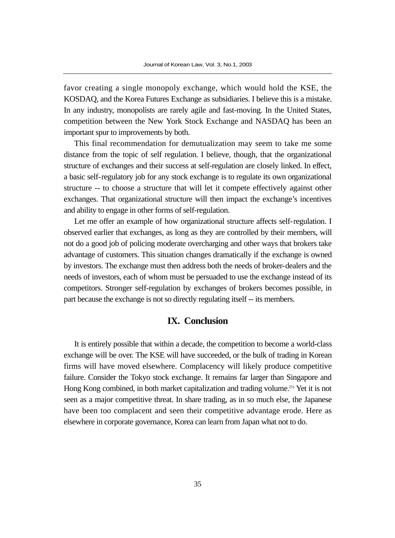favor creating a single monopoly exchange, which would hold the KSE, the KOSDAQ, and the Korea Futures Exchange as subsidiaries. I believe this is a mistake. In any industry, monopolists are rarely agile and fast-moving. In the United States, competition between the New York Stock Exchange and NASDAQ has been an important spur to improvements by both.

This final recommendation for demutualization may seem to take me some distance from the topic of self regulation. I believe, though, that the organizational structure of exchanges and their success at self-regulation are closely linked. In effect, a basic self-regulatory job for any stock exchange is to regulate its own organizational structure -- to choose a structure that will let it compete effectively against other exchanges. That organizational structure will then impact the exchange's incentives and ability to engage in other forms of self-regulation.

Let me offer an example of how organizational structure affects self-regulation. I observed earlier that exchanges, as long as they are controlled by their members, will not do a good job of policing moderate overcharging and other ways that brokers take advantage of customers. This situation changes dramatically if the exchange is owned by investors. The exchange must then address both the needs of broker-dealers and the needs of investors, each of whom must be persuaded to use the exchange instead of its competitors. Stronger self-regulation by exchanges of brokers becomes possible, in part because the exchange is not so directly regulating itself -- its members.

## **IX. Conclusion**

It is entirely possible that within a decade, the competition to become a world-class exchange will be over. The KSE will have succeeded, or the bulk of trading in Korean firms will have moved elsewhere. Complacency will likely produce competitive failure. Consider the Tokyo stock exchange. It remains far larger than Singapore and Hong Kong combined, in both market capitalization and trading volume.<sup>21)</sup> Yet it is not seen as a major competitive threat. In share trading, as in so much else, the Japanese have been too complacent and seen their competitive advantage erode. Here as elsewhere in corporate governance, Korea can learn from Japan what not to do.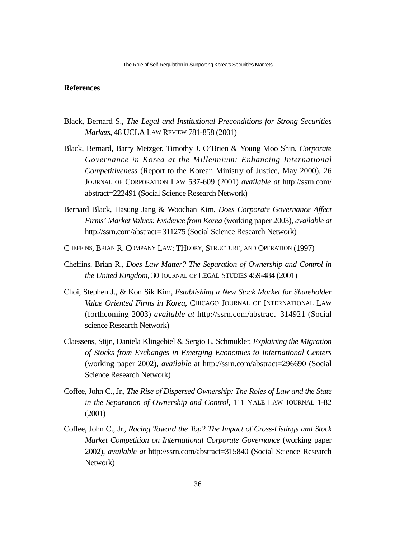#### **References**

- Black, Bernard S., *The Legal and Institutional Preconditions for Strong Securities Markets*, 48 UCLA LAW REVIEW 781-858 (2001)
- Black, Bernard, Barry Metzger, Timothy J. O'Brien & Young Moo Shin, *Corporate Governance in Korea at the Millennium: Enhancing International Competitiveness* (Report to the Korean Ministry of Justice, May 2000), 26 JOURNAL OF CORPORATION LAW 537-609 (2001) *available at* http://ssrn.com/ abstract=222491 (Social Science Research Network)
- Bernard Black, Hasung Jang & Woochan Kim, *Does Corporate Governance Affect Firms' Market Values: Evidence from Korea* (working paper 2003), *available at* http://ssrn.com/abstract=311275 (Social Science Research Network)
- CHEFFINS, BRIAN R. COMPANY LAW: THEORY, STRUCTURE, AND OPERATION (1997)
- Cheffins. Brian R., *Does Law Matter? The Separation of Ownership and Control in the United Kingdom*, 30 JOURNAL OF LEGAL STUDIES 459-484 (2001)
- Choi, Stephen J., & Kon Sik Kim, *Establishing a New Stock Market for Shareholder Value Oriented Firms in Korea*, CHICAGO JOURNAL OF INTERNATIONAL LAW (forthcoming 2003) *available at* http://ssrn.com/abstract=314921 (Social science Research Network)
- Claessens, Stijn, Daniela Klingebiel & Sergio L. Schmukler, *Explaining the Migration of Stocks from Exchanges in Emerging Economies to International Centers* (working paper 2002), *available* at http://ssrn.com/abstract=296690 (Social Science Research Network)
- Coffee, John C., Jr., *The Rise of Dispersed Ownership: The Roles of Law and the State in the Separation of Ownership and Control*, 111 YALE LAW JOURNAL 1-82 (2001)
- Coffee, John C., Jr., *Racing Toward the Top? The Impact of Cross-Listings and Stock Market Competition on International Corporate Governance* (working paper 2002), *available at* http://ssrn.com/abstract=315840 (Social Science Research Network)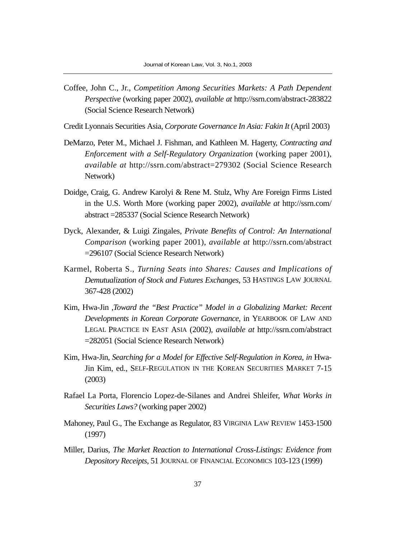- Coffee, John C., Jr., *Competition Among Securities Markets: A Path Dependent Perspective* (working paper 2002), *available at* http://ssrn.com/abstract-283822 (Social Science Research Network)
- Credit Lyonnais Securities Asia, *Corporate Governance In Asia: Fakin It* (April 2003)
- DeMarzo, Peter M., Michael J. Fishman, and Kathleen M. Hagerty, *Contracting and Enforcement with a Self-Regulatory Organization* (working paper 2001), *available at* http://ssrn.com/abstract=279302 (Social Science Research Network)
- Doidge, Craig, G. Andrew Karolyi & Rene M. Stulz, Why Are Foreign Firms Listed in the U.S. Worth More (working paper 2002), *available at* http://ssrn.com/ abstract =285337 (Social Science Research Network)
- Dyck, Alexander, & Luigi Zingales, *Private Benefits of Control: An International Comparison* (working paper 2001), *available at* http://ssrn.com/abstract =296107 (Social Science Research Network)
- Karmel, Roberta S., *Turning Seats into Shares: Causes and Implications of Demutualization of Stock and Futures Exchanges*, 53 HASTINGS LAW JOURNAL 367-428 (2002)
- Kim, Hwa-Jin ,*Toward the "Best Practice" Model in a Globalizing Market: Recent Developments in Korean Corporate Governance*, in YEARBOOK OF LAW AND LEGAL PRACTICE IN EAST ASIA (2002), *available at* http://ssrn.com/abstract =282051 (Social Science Research Network)
- Kim, Hwa-Jin, *Searching for a Model for Effective Self-Regulation in Korea*, *in* Hwa-Jin Kim, ed., SELF-REGULATION IN THE KOREAN SECURITIES MARKET 7-15 (2003)
- Rafael La Porta, Florencio Lopez-de-Silanes and Andrei Shleifer, *What Works in Securities Laws?* (working paper 2002)
- Mahoney, Paul G., The Exchange as Regulator, 83 VIRGINIA LAW REVIEW 1453-1500 (1997)
- Miller, Darius, *The Market Reaction to International Cross-Listings: Evidence from Depository Receipts*, 51 JOURNAL OF FINANCIAL ECONOMICS 103-123 (1999)